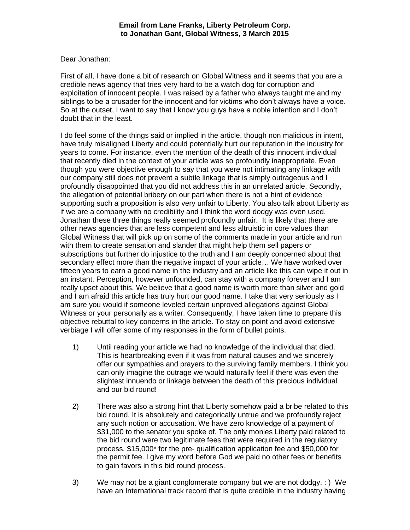## Dear Jonathan:

First of all, I have done a bit of research on Global Witness and it seems that you are a credible news agency that tries very hard to be a watch dog for corruption and exploitation of innocent people. I was raised by a father who always taught me and my siblings to be a crusader for the innocent and for victims who don't always have a voice. So at the outset, I want to say that I know you guys have a noble intention and I don't doubt that in the least.

I do feel some of the things said or implied in the article, though non malicious in intent, have truly misaligned Liberty and could potentially hurt our reputation in the industry for years to come. For instance, even the mention of the death of this innocent individual that recently died in the context of your article was so profoundly inappropriate. Even though you were objective enough to say that you were not intimating any linkage with our company still does not prevent a subtle linkage that is simply outrageous and I profoundly disappointed that you did not address this in an unrelated article. Secondly, the allegation of potential bribery on our part when there is not a hint of evidence supporting such a proposition is also very unfair to Liberty. You also talk about Liberty as if we are a company with no credibility and I think the word dodgy was even used. Jonathan these three things really seemed profoundly unfair. It is likely that there are other news agencies that are less competent and less altruistic in core values than Global Witness that will pick up on some of the comments made in your article and run with them to create sensation and slander that might help them sell papers or subscriptions but further do injustice to the truth and I am deeply concerned about that secondary effect more than the negative impact of your article… We have worked over fifteen years to earn a good name in the industry and an article like this can wipe it out in an instant. Perception, however unfounded, can stay with a company forever and I am really upset about this. We believe that a good name is worth more than silver and gold and I am afraid this article has truly hurt our good name. I take that very seriously as I am sure you would if someone leveled certain unproved allegations against Global Witness or your personally as a writer. Consequently, I have taken time to prepare this objective rebuttal to key concerns in the article. To stay on point and avoid extensive verbiage I will offer some of my responses in the form of bullet points.

- 1) Until reading your article we had no knowledge of the individual that died. This is heartbreaking even if it was from natural causes and we sincerely offer our sympathies and prayers to the surviving family members. I think you can only imagine the outrage we would naturally feel if there was even the slightest innuendo or linkage between the death of this precious individual and our bid round!
- 2) There was also a strong hint that Liberty somehow paid a bribe related to this bid round. It is absolutely and categorically untrue and we profoundly reject any such notion or accusation. We have zero knowledge of a payment of \$31,000 to the senator you spoke of. The only monies Liberty paid related to the bid round were two legitimate fees that were required in the regulatory process. \$15,000\* for the pre- qualification application fee and \$50,000 for the permit fee. I give my word before God we paid no other fees or benefits to gain favors in this bid round process.
- 3) We may not be a giant conglomerate company but we are not dodgy. : ) We have an International track record that is quite credible in the industry having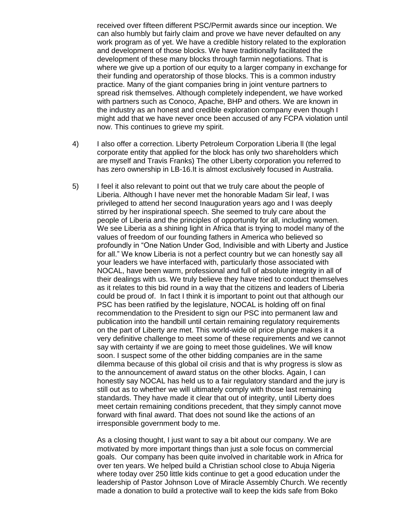received over fifteen different PSC/Permit awards since our inception. We can also humbly but fairly claim and prove we have never defaulted on any work program as of yet. We have a credible history related to the exploration and development of those blocks. We have traditionally facilitated the development of these many blocks through farmin negotiations. That is where we give up a portion of our equity to a larger company in exchange for their funding and operatorship of those blocks. This is a common industry practice. Many of the giant companies bring in joint venture partners to spread risk themselves. Although completely independent, we have worked with partners such as Conoco, Apache, BHP and others. We are known in the industry as an honest and credible exploration company even though I might add that we have never once been accused of any FCPA violation until now. This continues to grieve my spirit.

- 4) I also offer a correction. Liberty Petroleum Corporation Liberia ll (the legal corporate entity that applied for the block has only two shareholders which are myself and Travis Franks) The other Liberty corporation you referred to has zero ownership in LB-16.It is almost exclusively focused in Australia.
- 5) I feel it also relevant to point out that we truly care about the people of Liberia. Although I have never met the honorable Madam Sir leaf, I was privileged to attend her second Inauguration years ago and I was deeply stirred by her inspirational speech. She seemed to truly care about the people of Liberia and the principles of opportunity for all, including women. We see Liberia as a shining light in Africa that is trying to model many of the values of freedom of our founding fathers in America who believed so profoundly in "One Nation Under God, Indivisible and with Liberty and Justice for all." We know Liberia is not a perfect country but we can honestly say all your leaders we have interfaced with, particularly those associated with NOCAL, have been warm, professional and full of absolute integrity in all of their dealings with us. We truly believe they have tried to conduct themselves as it relates to this bid round in a way that the citizens and leaders of Liberia could be proud of. In fact I think it is important to point out that although our PSC has been ratified by the legislature, NOCAL is holding off on final recommendation to the President to sign our PSC into permanent law and publication into the handbill until certain remaining regulatory requirements on the part of Liberty are met. This world-wide oil price plunge makes it a very definitive challenge to meet some of these requirements and we cannot say with certainty if we are going to meet those guidelines. We will know soon. I suspect some of the other bidding companies are in the same dilemma because of this global oil crisis and that is why progress is slow as to the announcement of award status on the other blocks. Again, I can honestly say NOCAL has held us to a fair regulatory standard and the jury is still out as to whether we will ultimately comply with those last remaining standards. They have made it clear that out of integrity, until Liberty does meet certain remaining conditions precedent, that they simply cannot move forward with final award. That does not sound like the actions of an irresponsible government body to me.

As a closing thought, I just want to say a bit about our company. We are motivated by more important things than just a sole focus on commercial goals. Our company has been quite involved in charitable work in Africa for over ten years. We helped build a Christian school close to Abuja Nigeria where today over 250 little kids continue to get a good education under the leadership of Pastor Johnson Love of Miracle Assembly Church. We recently made a donation to build a protective wall to keep the kids safe from Boko